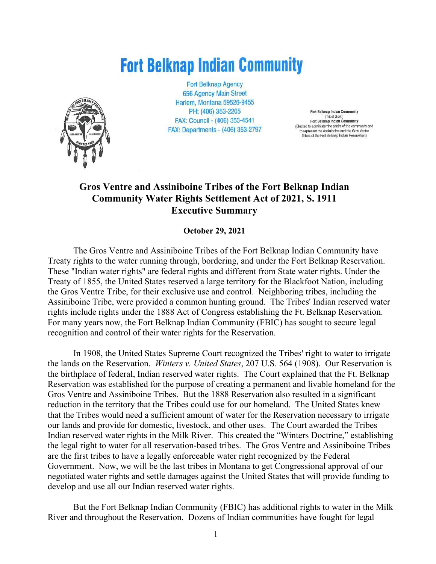# **Fort Belknap Indian Community**



**Fort Belknap Agency 656 Agency Main Street** Harlem, Montana 59526-9455 PH: (406) 353-2205 FAX: Council - (406) 353-4541 FAX: Departments - (406) 353-2797

Fort Belknap Indian Community (Tribal Govt.)<br>Fort Belknap Indian Community (Elected to administer the affairs of the community and to represent the Assiniboine and the Gros Ventre Tribes of the Fort Belknap Indian Reservation)

## **Gros Ventre and Assiniboine Tribes of the Fort Belknap Indian Community Water Rights Settlement Act of 2021, S. 1911 Executive Summary**

**October 29, 2021**

The Gros Ventre and Assiniboine Tribes of the Fort Belknap Indian Community have Treaty rights to the water running through, bordering, and under the Fort Belknap Reservation. These "Indian water rights" are federal rights and different from State water rights. Under the Treaty of 1855, the United States reserved a large territory for the Blackfoot Nation, including the Gros Ventre Tribe, for their exclusive use and control. Neighboring tribes, including the Assiniboine Tribe, were provided a common hunting ground. The Tribes' Indian reserved water rights include rights under the 1888 Act of Congress establishing the Ft. Belknap Reservation. For many years now, the Fort Belknap Indian Community (FBIC) has sought to secure legal recognition and control of their water rights for the Reservation.

In 1908, the United States Supreme Court recognized the Tribes' right to water to irrigate the lands on the Reservation. *Winters v. United States*, 207 U.S. 564 (1908). Our Reservation is the birthplace of federal, Indian reserved water rights. The Court explained that the Ft. Belknap Reservation was established for the purpose of creating a permanent and livable homeland for the Gros Ventre and Assiniboine Tribes. But the 1888 Reservation also resulted in a significant reduction in the territory that the Tribes could use for our homeland. The United States knew that the Tribes would need a sufficient amount of water for the Reservation necessary to irrigate our lands and provide for domestic, livestock, and other uses. The Court awarded the Tribes Indian reserved water rights in the Milk River. This created the "Winters Doctrine," establishing the legal right to water for all reservation-based tribes. The Gros Ventre and Assiniboine Tribes are the first tribes to have a legally enforceable water right recognized by the Federal Government. Now, we will be the last tribes in Montana to get Congressional approval of our negotiated water rights and settle damages against the United States that will provide funding to develop and use all our Indian reserved water rights.

But the Fort Belknap Indian Community (FBIC) has additional rights to water in the Milk River and throughout the Reservation. Dozens of Indian communities have fought for legal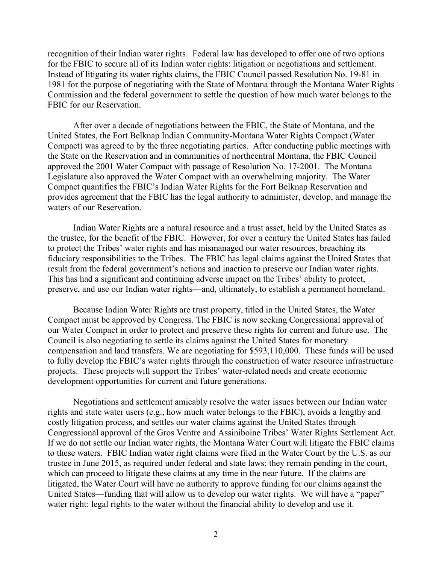recognition of their Indian water rights. Federal law has developed to offer one of two options for the FBIC to secure all of its Indian water rights: litigation or negotiations and settlement. Instead of litigating its water rights claims, the FBIC Council passed Resolution No. 19-81 in 1981 for the purpose of negotiating with the State of Montana through the Montana Water Rights Commission and the federal government to settle the question of how much water belongs to the FBIC for our Reservation.

After over a decade of negotiations between the FBIC, the State of Montana, and the United States, the Fort Belknap Indian Community-Montana Water Rights Compact (Water Compact) was agreed to by the three negotiating parties. After conducting public meetings with the State on the Reservation and in communities of northcentral Montana, the FBIC Council approved the 2001 Water Compact with passage of Resolution No. 17-2001. The Montana Legislature also approved the Water Compact with an overwhelming majority. The Water Compact quantifies the FBIC's Indian Water Rights for the Fort Belknap Reservation and provides agreement that the FBIC has the legal authority to administer, develop, and manage the waters of our Reservation.

Indian Water Rights are a natural resource and a trust asset, held by the United States as the trustee, for the benefit of the FBIC. However, for over a century the United States has failed to protect the Tribes' water rights and has mismanaged our water resources, breaching its fiduciary responsibilities to the Tribes. The FBIC has legal claims against the United States that result from the federal government's actions and inaction to preserve our Indian water rights. This has had a significant and continuing adverse impact on the Tribes' ability to protect, preserve, and use our Indian water rights—and, ultimately, to establish a permanent homeland.

Because Indian Water Rights are trust property, titled in the United States, the Water Compact must be approved by Congress. The FBIC is now seeking Congressional approval of our Water Compact in order to protect and preserve these rights for current and future use. The Council is also negotiating to settle its claims against the United States for monetary compensation and land transfers. We are negotiating for \$593,110,000. These funds will be used to fully develop the FBIC's water rights through the construction of water resource infrastructure projects. These projects will support the Tribes' water-related needs and create economic development opportunities for current and future generations.

Negotiations and settlement amicably resolve the water issues between our Indian water rights and state water users (e.g., how much water belongs to the FBIC), avoids a lengthy and costly litigation process, and settles our water claims against the United States through Congressional approval of the Gros Ventre and Assiniboine Tribes' Water Rights Settlement Act. If we do not settle our Indian water rights, the Montana Water Court will litigate the FBIC claims to these waters. FBIC Indian water right claims were filed in the Water Court by the U.S. as our trustee in June 2015, as required under federal and state laws; they remain pending in the court, which can proceed to litigate these claims at any time in the near future. If the claims are litigated, the Water Court will have no authority to approve funding for our claims against the United States—funding that will allow us to develop our water rights. We will have a "paper" water right: legal rights to the water without the financial ability to develop and use it.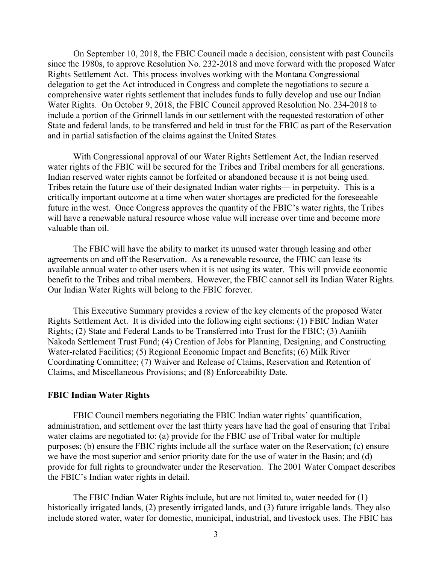On September 10, 2018, the FBIC Council made a decision, consistent with past Councils since the 1980s, to approve Resolution No. 232-2018 and move forward with the proposed Water Rights Settlement Act. This process involves working with the Montana Congressional delegation to get the Act introduced in Congress and complete the negotiations to secure a comprehensive water rights settlement that includes funds to fully develop and use our Indian Water Rights. On October 9, 2018, the FBIC Council approved Resolution No. 234-2018 to include a portion of the Grinnell lands in our settlement with the requested restoration of other State and federal lands, to be transferred and held in trust for the FBIC as part of the Reservation and in partial satisfaction of the claims against the United States.

With Congressional approval of our Water Rights Settlement Act, the Indian reserved water rights of the FBIC will be secured for the Tribes and Tribal members for all generations. Indian reserved water rights cannot be forfeited or abandoned because it is not being used. Tribes retain the future use of their designated Indian water rights— in perpetuity. This is a critically important outcome at a time when water shortages are predicted for the foreseeable future in the west. Once Congress approves the quantity of the FBIC's water rights, the Tribes will have a renewable natural resource whose value will increase over time and become more valuable than oil.

The FBIC will have the ability to market its unused water through leasing and other agreements on and off the Reservation. As a renewable resource, the FBIC can lease its available annual water to other users when it is not using its water. This will provide economic benefit to the Tribes and tribal members. However, the FBIC cannot sell its Indian Water Rights. Our Indian Water Rights will belong to the FBIC forever.

This Executive Summary provides a review of the key elements of the proposed Water Rights Settlement Act. It is divided into the following eight sections: (1) FBIC Indian Water Rights; (2) State and Federal Lands to be Transferred into Trust for the FBIC; (3) Aaniiih Nakoda Settlement Trust Fund; (4) Creation of Jobs for Planning, Designing, and Constructing Water-related Facilities; (5) Regional Economic Impact and Benefits; (6) Milk River Coordinating Committee; (7) Waiver and Release of Claims, Reservation and Retention of Claims, and Miscellaneous Provisions; and (8) Enforceability Date.

#### **FBIC Indian Water Rights**

FBIC Council members negotiating the FBIC Indian water rights' quantification, administration, and settlement over the last thirty years have had the goal of ensuring that Tribal water claims are negotiated to: (a) provide for the FBIC use of Tribal water for multiple purposes; (b) ensure the FBIC rights include all the surface water on the Reservation; (c) ensure we have the most superior and senior priority date for the use of water in the Basin; and (d) provide for full rights to groundwater under the Reservation. The 2001 Water Compact describes the FBIC's Indian water rights in detail.

The FBIC Indian Water Rights include, but are not limited to, water needed for (1) historically irrigated lands, (2) presently irrigated lands, and (3) future irrigable lands. They also include stored water, water for domestic, municipal, industrial, and livestock uses. The FBIC has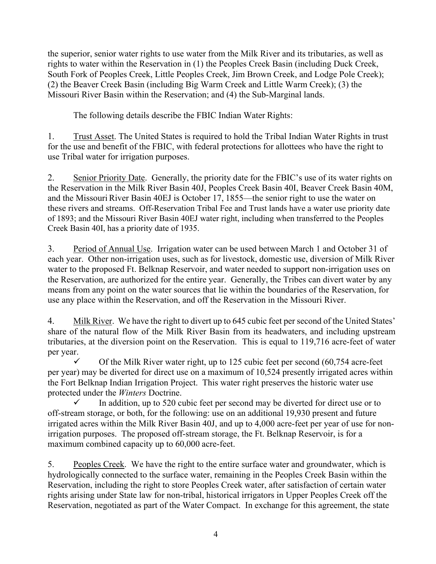the superior, senior water rights to use water from the Milk River and its tributaries, as well as rights to water within the Reservation in (1) the Peoples Creek Basin (including Duck Creek, South Fork of Peoples Creek, Little Peoples Creek, Jim Brown Creek, and Lodge Pole Creek); (2) the Beaver Creek Basin (including Big Warm Creek and Little Warm Creek); (3) the Missouri River Basin within the Reservation; and (4) the Sub-Marginal lands.

The following details describe the FBIC Indian Water Rights:

1. Trust Asset. The United States is required to hold the Tribal Indian Water Rights in trust for the use and benefit of the FBIC, with federal protections for allottees who have the right to use Tribal water for irrigation purposes.

2. Senior Priority Date. Generally, the priority date for the FBIC's use of its water rights on the Reservation in the Milk River Basin 40J, Peoples Creek Basin 40I, Beaver Creek Basin 40M, and the Missouri River Basin 40EJ is October 17, 1855—the senior right to use the water on these rivers and streams. Off-Reservation Tribal Fee and Trust lands have a water use priority date of 1893; and the Missouri River Basin 40EJ water right, including when transferred to the Peoples Creek Basin 40I, has a priority date of 1935.

3. Period of Annual Use. Irrigation water can be used between March 1 and October 31 of each year. Other non-irrigation uses, such as for livestock, domestic use, diversion of Milk River water to the proposed Ft. Belknap Reservoir, and water needed to support non-irrigation uses on the Reservation, are authorized for the entire year. Generally, the Tribes can divert water by any means from any point on the water sources that lie within the boundaries of the Reservation, for use any place within the Reservation, and off the Reservation in the Missouri River.

4. Milk River. We have the right to divert up to 645 cubic feet per second of the United States' share of the natural flow of the Milk River Basin from its headwaters, and including upstream tributaries, at the diversion point on the Reservation. This is equal to 119,716 acre-feet of water per year.

 $\checkmark$  Of the Milk River water right, up to 125 cubic feet per second (60,754 acre-feet per year) may be diverted for direct use on a maximum of 10,524 presently irrigated acres within the Fort Belknap Indian Irrigation Project. This water right preserves the historic water use protected under the *Winters* Doctrine.

 In addition, up to 520 cubic feet per second may be diverted for direct use or to off-stream storage, or both, for the following: use on an additional 19,930 present and future irrigated acres within the Milk River Basin 40J, and up to 4,000 acre-feet per year of use for nonirrigation purposes. The proposed off-stream storage, the Ft. Belknap Reservoir, is for a maximum combined capacity up to 60,000 acre-feet.

5. Peoples Creek. We have the right to the entire surface water and groundwater, which is hydrologically connected to the surface water, remaining in the Peoples Creek Basin within the Reservation, including the right to store Peoples Creek water, after satisfaction of certain water rights arising under State law for non-tribal, historical irrigators in Upper Peoples Creek off the Reservation, negotiated as part of the Water Compact. In exchange for this agreement, the state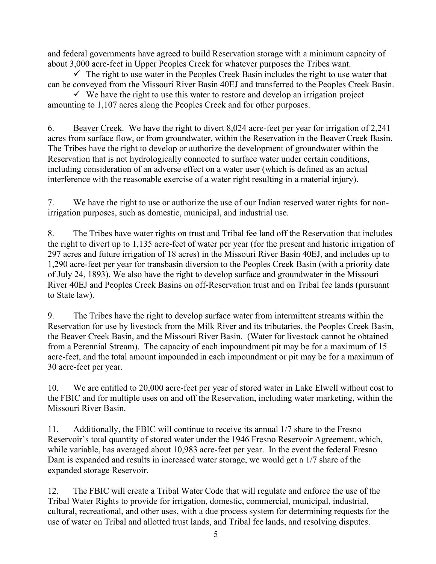and federal governments have agreed to build Reservation storage with a minimum capacity of about 3,000 acre-feet in Upper Peoples Creek for whatever purposes the Tribes want.

 $\checkmark$  The right to use water in the Peoples Creek Basin includes the right to use water that can be conveyed from the Missouri River Basin 40EJ and transferred to the Peoples Creek Basin.

 $\checkmark$  We have the right to use this water to restore and develop an irrigation project amounting to 1,107 acres along the Peoples Creek and for other purposes.

6. Beaver Creek. We have the right to divert 8,024 acre-feet per year for irrigation of 2,241 acres from surface flow, or from groundwater, within the Reservation in the Beaver Creek Basin. The Tribes have the right to develop or authorize the development of groundwater within the Reservation that is not hydrologically connected to surface water under certain conditions, including consideration of an adverse effect on a water user (which is defined as an actual interference with the reasonable exercise of a water right resulting in a material injury).

7. We have the right to use or authorize the use of our Indian reserved water rights for nonirrigation purposes, such as domestic, municipal, and industrial use.

8. The Tribes have water rights on trust and Tribal fee land off the Reservation that includes the right to divert up to 1,135 acre-feet of water per year (for the present and historic irrigation of 297 acres and future irrigation of 18 acres) in the Missouri River Basin 40EJ, and includes up to 1,290 acre-feet per year for transbasin diversion to the Peoples Creek Basin (with a priority date of July 24, 1893). We also have the right to develop surface and groundwater in the Missouri River 40EJ and Peoples Creek Basins on off-Reservation trust and on Tribal fee lands (pursuant to State law).

9. The Tribes have the right to develop surface water from intermittent streams within the Reservation for use by livestock from the Milk River and its tributaries, the Peoples Creek Basin, the Beaver Creek Basin, and the Missouri River Basin. (Water for livestock cannot be obtained from a Perennial Stream). The capacity of each impoundment pit may be for a maximum of 15 acre-feet, and the total amount impounded in each impoundment or pit may be for a maximum of 30 acre-feet per year.

10. We are entitled to 20,000 acre-feet per year of stored water in Lake Elwell without cost to the FBIC and for multiple uses on and off the Reservation, including water marketing, within the Missouri River Basin.

11. Additionally, the FBIC will continue to receive its annual 1/7 share to the Fresno Reservoir's total quantity of stored water under the 1946 Fresno Reservoir Agreement, which, while variable, has averaged about 10,983 acre-feet per year. In the event the federal Fresno Dam is expanded and results in increased water storage, we would get a 1/7 share of the expanded storage Reservoir.

12. The FBIC will create a Tribal Water Code that will regulate and enforce the use of the Tribal Water Rights to provide for irrigation, domestic, commercial, municipal, industrial, cultural, recreational, and other uses, with a due process system for determining requests for the use of water on Tribal and allotted trust lands, and Tribal fee lands, and resolving disputes.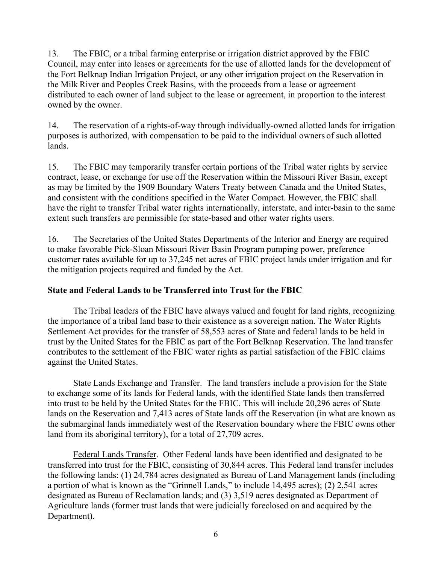13. The FBIC, or a tribal farming enterprise or irrigation district approved by the FBIC Council, may enter into leases or agreements for the use of allotted lands for the development of the Fort Belknap Indian Irrigation Project, or any other irrigation project on the Reservation in the Milk River and Peoples Creek Basins, with the proceeds from a lease or agreement distributed to each owner of land subject to the lease or agreement, in proportion to the interest owned by the owner.

14. The reservation of a rights-of-way through individually-owned allotted lands for irrigation purposes is authorized, with compensation to be paid to the individual owners of such allotted lands.

15. The FBIC may temporarily transfer certain portions of the Tribal water rights by service contract, lease, or exchange for use off the Reservation within the Missouri River Basin, except as may be limited by the 1909 Boundary Waters Treaty between Canada and the United States, and consistent with the conditions specified in the Water Compact. However, the FBIC shall have the right to transfer Tribal water rights internationally, interstate, and inter-basin to the same extent such transfers are permissible for state-based and other water rights users.

16. The Secretaries of the United States Departments of the Interior and Energy are required to make favorable Pick-Sloan Missouri River Basin Program pumping power, preference customer rates available for up to 37,245 net acres of FBIC project lands under irrigation and for the mitigation projects required and funded by the Act.

## **State and Federal Lands to be Transferred into Trust for the FBIC**

The Tribal leaders of the FBIC have always valued and fought for land rights, recognizing the importance of a tribal land base to their existence as a sovereign nation. The Water Rights Settlement Act provides for the transfer of 58,553 acres of State and federal lands to be held in trust by the United States for the FBIC as part of the Fort Belknap Reservation. The land transfer contributes to the settlement of the FBIC water rights as partial satisfaction of the FBIC claims against the United States.

State Lands Exchange and Transfer. The land transfers include a provision for the State to exchange some of its lands for Federal lands, with the identified State lands then transferred into trust to be held by the United States for the FBIC. This will include 20,296 acres of State lands on the Reservation and 7,413 acres of State lands off the Reservation (in what are known as the submarginal lands immediately west of the Reservation boundary where the FBIC owns other land from its aboriginal territory), for a total of 27,709 acres.

Federal Lands Transfer. Other Federal lands have been identified and designated to be transferred into trust for the FBIC, consisting of 30,844 acres. This Federal land transfer includes the following lands: (1) 24,784 acres designated as Bureau of Land Management lands (including a portion of what is known as the "Grinnell Lands," to include 14,495 acres); (2) 2,541 acres designated as Bureau of Reclamation lands; and (3) 3,519 acres designated as Department of Agriculture lands (former trust lands that were judicially foreclosed on and acquired by the Department).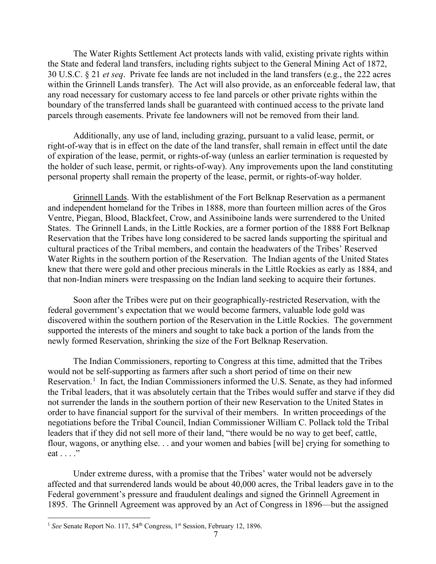The Water Rights Settlement Act protects lands with valid, existing private rights within the State and federal land transfers, including rights subject to the General Mining Act of 1872, 30 U.S.C. § 21 *et seq*. Private fee lands are not included in the land transfers (e.g., the 222 acres within the Grinnell Lands transfer). The Act will also provide, as an enforceable federal law, that any road necessary for customary access to fee land parcels or other private rights within the boundary of the transferred lands shall be guaranteed with continued access to the private land parcels through easements. Private fee landowners will not be removed from their land.

Additionally, any use of land, including grazing, pursuant to a valid lease, permit, or right-of-way that is in effect on the date of the land transfer, shall remain in effect until the date of expiration of the lease, permit, or rights-of-way (unless an earlier termination is requested by the holder of such lease, permit, or rights-of-way). Any improvements upon the land constituting personal property shall remain the property of the lease, permit, or rights-of-way holder.

Grinnell Lands. With the establishment of the Fort Belknap Reservation as a permanent and independent homeland for the Tribes in 1888, more than fourteen million acres of the Gros Ventre, Piegan, Blood, Blackfeet, Crow, and Assiniboine lands were surrendered to the United States. The Grinnell Lands, in the Little Rockies, are a former portion of the 1888 Fort Belknap Reservation that the Tribes have long considered to be sacred lands supporting the spiritual and cultural practices of the Tribal members, and contain the headwaters of the Tribes' Reserved Water Rights in the southern portion of the Reservation. The Indian agents of the United States knew that there were gold and other precious minerals in the Little Rockies as early as 1884, and that non-Indian miners were trespassing on the Indian land seeking to acquire their fortunes.

Soon after the Tribes were put on their geographically-restricted Reservation, with the federal government's expectation that we would become farmers, valuable lode gold was discovered within the southern portion of the Reservation in the Little Rockies. The government supported the interests of the miners and sought to take back a portion of the lands from the newly formed Reservation, shrinking the size of the Fort Belknap Reservation.

The Indian Commissioners, reporting to Congress at this time, admitted that the Tribes would not be self-supporting as farmers after such a short period of time on their new Reservation.<sup>[1](#page-6-0)</sup> In fact, the Indian Commissioners informed the U.S. Senate, as they had informed the Tribal leaders, that it was absolutely certain that the Tribes would suffer and starve if they did not surrender the lands in the southern portion of their new Reservation to the United States in order to have financial support for the survival of their members. In written proceedings of the negotiations before the Tribal Council, Indian Commissioner William C. Pollack told the Tribal leaders that if they did not sell more of their land, "there would be no way to get beef, cattle, flour, wagons, or anything else. . . and your women and babies [will be] crying for something to eat . . . ."

Under extreme duress, with a promise that the Tribes' water would not be adversely affected and that surrendered lands would be about 40,000 acres, the Tribal leaders gave in to the Federal government's pressure and fraudulent dealings and signed the Grinnell Agreement in 1895. The Grinnell Agreement was approved by an Act of Congress in 1896—but the assigned

<span id="page-6-0"></span><sup>&</sup>lt;sup>1</sup> See Senate Report No. 117, 54<sup>th</sup> Congress, 1<sup>st</sup> Session, February 12, 1896.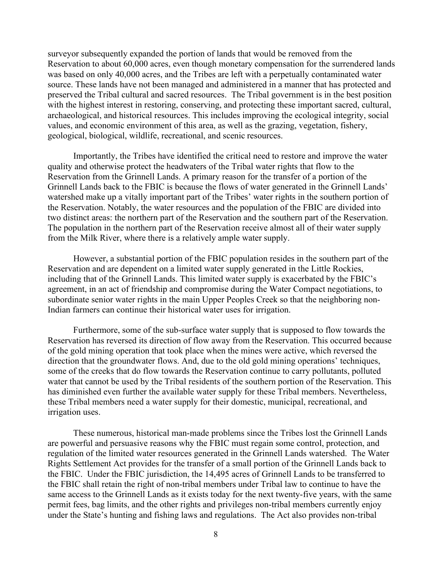surveyor subsequently expanded the portion of lands that would be removed from the Reservation to about 60,000 acres, even though monetary compensation for the surrendered lands was based on only 40,000 acres, and the Tribes are left with a perpetually contaminated water source. These lands have not been managed and administered in a manner that has protected and preserved the Tribal cultural and sacred resources. The Tribal government is in the best position with the highest interest in restoring, conserving, and protecting these important sacred, cultural, archaeological, and historical resources. This includes improving the ecological integrity, social values, and economic environment of this area, as well as the grazing, vegetation, fishery, geological, biological, wildlife, recreational, and scenic resources.

Importantly, the Tribes have identified the critical need to restore and improve the water quality and otherwise protect the headwaters of the Tribal water rights that flow to the Reservation from the Grinnell Lands. A primary reason for the transfer of a portion of the Grinnell Lands back to the FBIC is because the flows of water generated in the Grinnell Lands' watershed make up a vitally important part of the Tribes' water rights in the southern portion of the Reservation. Notably, the water resources and the population of the FBIC are divided into two distinct areas: the northern part of the Reservation and the southern part of the Reservation. The population in the northern part of the Reservation receive almost all of their water supply from the Milk River, where there is a relatively ample water supply.

However, a substantial portion of the FBIC population resides in the southern part of the Reservation and are dependent on a limited water supply generated in the Little Rockies, including that of the Grinnell Lands. This limited water supply is exacerbated by the FBIC's agreement, in an act of friendship and compromise during the Water Compact negotiations, to subordinate senior water rights in the main Upper Peoples Creek so that the neighboring non-Indian farmers can continue their historical water uses for irrigation.

Furthermore, some of the sub-surface water supply that is supposed to flow towards the Reservation has reversed its direction of flow away from the Reservation. This occurred because of the gold mining operation that took place when the mines were active, which reversed the direction that the groundwater flows. And, due to the old gold mining operations' techniques, some of the creeks that do flow towards the Reservation continue to carry pollutants, polluted water that cannot be used by the Tribal residents of the southern portion of the Reservation. This has diminished even further the available water supply for these Tribal members. Nevertheless, these Tribal members need a water supply for their domestic, municipal, recreational, and irrigation uses.

These numerous, historical man-made problems since the Tribes lost the Grinnell Lands are powerful and persuasive reasons why the FBIC must regain some control, protection, and regulation of the limited water resources generated in the Grinnell Lands watershed. The Water Rights Settlement Act provides for the transfer of a small portion of the Grinnell Lands back to the FBIC. Under the FBIC jurisdiction, the 14,495 acres of Grinnell Lands to be transferred to the FBIC shall retain the right of non-tribal members under Tribal law to continue to have the same access to the Grinnell Lands as it exists today for the next twenty-five years, with the same permit fees, bag limits, and the other rights and privileges non-tribal members currently enjoy under the State's hunting and fishing laws and regulations. The Act also provides non-tribal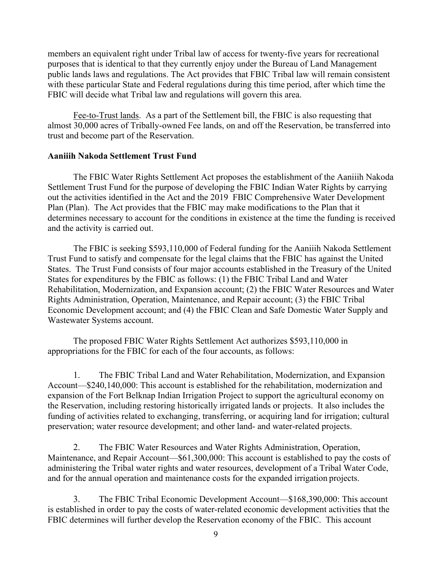members an equivalent right under Tribal law of access for twenty-five years for recreational purposes that is identical to that they currently enjoy under the Bureau of Land Management public lands laws and regulations. The Act provides that FBIC Tribal law will remain consistent with these particular State and Federal regulations during this time period, after which time the FBIC will decide what Tribal law and regulations will govern this area.

Fee-to-Trust lands. As a part of the Settlement bill, the FBIC is also requesting that almost 30,000 acres of Tribally-owned Fee lands, on and off the Reservation, be transferred into trust and become part of the Reservation.

#### **Aaniiih Nakoda Settlement Trust Fund**

The FBIC Water Rights Settlement Act proposes the establishment of the Aaniiih Nakoda Settlement Trust Fund for the purpose of developing the FBIC Indian Water Rights by carrying out the activities identified in the Act and the 2019 FBIC Comprehensive Water Development Plan (Plan). The Act provides that the FBIC may make modifications to the Plan that it determines necessary to account for the conditions in existence at the time the funding is received and the activity is carried out.

The FBIC is seeking \$593,110,000 of Federal funding for the Aaniiih Nakoda Settlement Trust Fund to satisfy and compensate for the legal claims that the FBIC has against the United States. The Trust Fund consists of four major accounts established in the Treasury of the United States for expenditures by the FBIC as follows: (1) the FBIC Tribal Land and Water Rehabilitation, Modernization, and Expansion account; (2) the FBIC Water Resources and Water Rights Administration, Operation, Maintenance, and Repair account; (3) the FBIC Tribal Economic Development account; and (4) the FBIC Clean and Safe Domestic Water Supply and Wastewater Systems account.

The proposed FBIC Water Rights Settlement Act authorizes \$593,110,000 in appropriations for the FBIC for each of the four accounts, as follows:

1. The FBIC Tribal Land and Water Rehabilitation, Modernization, and Expansion Account—\$240,140,000: This account is established for the rehabilitation, modernization and expansion of the Fort Belknap Indian Irrigation Project to support the agricultural economy on the Reservation, including restoring historically irrigated lands or projects. It also includes the funding of activities related to exchanging, transferring, or acquiring land for irrigation; cultural preservation; water resource development; and other land- and water-related projects.

2. The FBIC Water Resources and Water Rights Administration, Operation, Maintenance, and Repair Account—\$61,300,000: This account is established to pay the costs of administering the Tribal water rights and water resources, development of a Tribal Water Code, and for the annual operation and maintenance costs for the expanded irrigation projects.

3. The FBIC Tribal Economic Development Account—\$168,390,000: This account is established in order to pay the costs of water-related economic development activities that the FBIC determines will further develop the Reservation economy of the FBIC. This account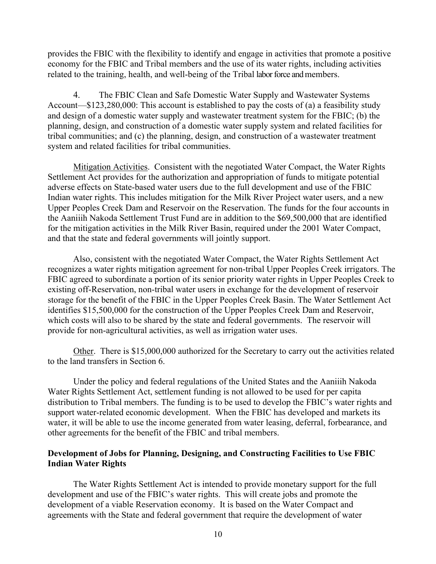provides the FBIC with the flexibility to identify and engage in activities that promote a positive economy for the FBIC and Tribal members and the use of its water rights, including activities related to the training, health, and well-being of the Tribal labor force and members.

4. The FBIC Clean and Safe Domestic Water Supply and Wastewater Systems Account—\$123,280,000: This account is established to pay the costs of (a) a feasibility study and design of a domestic water supply and wastewater treatment system for the FBIC; (b) the planning, design, and construction of a domestic water supply system and related facilities for tribal communities; and (c) the planning, design, and construction of a wastewater treatment system and related facilities for tribal communities.

Mitigation Activities. Consistent with the negotiated Water Compact, the Water Rights Settlement Act provides for the authorization and appropriation of funds to mitigate potential adverse effects on State-based water users due to the full development and use of the FBIC Indian water rights. This includes mitigation for the Milk River Project water users, and a new Upper Peoples Creek Dam and Reservoir on the Reservation. The funds for the four accounts in the Aaniiih Nakoda Settlement Trust Fund are in addition to the \$69,500,000 that are identified for the mitigation activities in the Milk River Basin, required under the 2001 Water Compact, and that the state and federal governments will jointly support.

Also, consistent with the negotiated Water Compact, the Water Rights Settlement Act recognizes a water rights mitigation agreement for non-tribal Upper Peoples Creek irrigators. The FBIC agreed to subordinate a portion of its senior priority water rights in Upper Peoples Creek to existing off-Reservation, non-tribal water users in exchange for the development of reservoir storage for the benefit of the FBIC in the Upper Peoples Creek Basin. The Water Settlement Act identifies \$15,500,000 for the construction of the Upper Peoples Creek Dam and Reservoir, which costs will also to be shared by the state and federal governments. The reservoir will provide for non-agricultural activities, as well as irrigation water uses.

Other. There is \$15,000,000 authorized for the Secretary to carry out the activities related to the land transfers in Section 6.

Under the policy and federal regulations of the United States and the Aaniiih Nakoda Water Rights Settlement Act, settlement funding is not allowed to be used for per capita distribution to Tribal members. The funding is to be used to develop the FBIC's water rights and support water-related economic development. When the FBIC has developed and markets its water, it will be able to use the income generated from water leasing, deferral, forbearance, and other agreements for the benefit of the FBIC and tribal members.

## **Development of Jobs for Planning, Designing, and Constructing Facilities to Use FBIC Indian Water Rights**

The Water Rights Settlement Act is intended to provide monetary support for the full development and use of the FBIC's water rights. This will create jobs and promote the development of a viable Reservation economy. It is based on the Water Compact and agreements with the State and federal government that require the development of water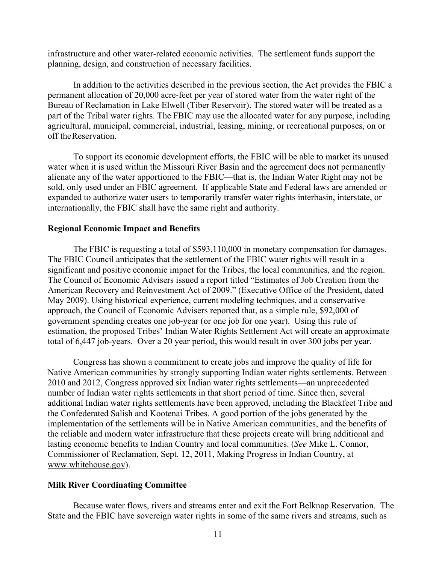infrastructure and other water-related economic activities. The settlement funds support the planning, design, and construction of necessary facilities.

In addition to the activities described in the previous section, the Act provides the FBIC a permanent allocation of 20,000 acre-feet per year of stored water from the water right of the Bureau of Reclamation in Lake Elwell (Tiber Reservoir). The stored water will be treated as a part of the Tribal water rights. The FBIC may use the allocated water for any purpose, including agricultural, municipal, commercial, industrial, leasing, mining, or recreational purposes, on or off theReservation.

To support its economic development efforts, the FBIC will be able to market its unused water when it is used within the Missouri River Basin and the agreement does not permanently alienate any of the water apportioned to the FBIC—that is, the Indian Water Right may not be sold, only used under an FBIC agreement. If applicable State and Federal laws are amended or expanded to authorize water users to temporarily transfer water rights interbasin, interstate, or internationally, the FBIC shall have the same right and authority.

#### **Regional Economic Impact and Benefits**

The FBIC is requesting a total of \$593,110,000 in monetary compensation for damages. The FBIC Council anticipates that the settlement of the FBIC water rights will result in a significant and positive economic impact for the Tribes, the local communities, and the region. The Council of Economic Advisers issued a report titled "Estimates of Job Creation from the American Recovery and Reinvestment Act of 2009." (Executive Office of the President, dated May 2009). Using historical experience, current modeling techniques, and a conservative approach, the Council of Economic Advisers reported that, as a simple rule, \$92,000 of government spending creates one job-year (or one job for one year). Using this rule of estimation, the proposed Tribes' Indian Water Rights Settlement Act will create an approximate total of 6,447 job-years. Over a 20 year period, this would result in over 300 jobs per year.

Congress has shown a commitment to create jobs and improve the quality of life for Native American communities by strongly supporting Indian water rights settlements. Between 2010 and 2012, Congress approved six Indian water rights settlements—an unprecedented number of Indian water rights settlements in that short period of time. Since then, several additional Indian water rights settlements have been approved, including the Blackfeet Tribe and the Confederated Salish and Kootenai Tribes. A good portion of the jobs generated by the implementation of the settlements will be in Native American communities, and the benefits of the reliable and modern water infrastructure that these projects create will bring additional and lasting economic benefits to Indian Country and local communities. (*See* Mike L. Connor, Commissioner of Reclamation, Sept. 12, 2011, Making Progress in Indian Country, at [www.whitehouse.gov\)](http://www.whitehouse.gov/).

#### **Milk River Coordinating Committee**

Because water flows, rivers and streams enter and exit the Fort Belknap Reservation. The State and the FBIC have sovereign water rights in some of the same rivers and streams, such as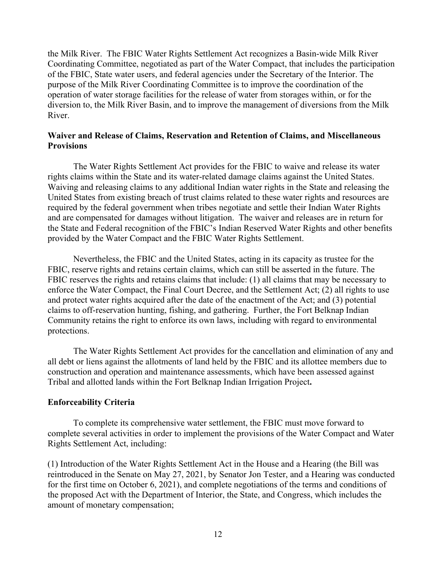the Milk River. The FBIC Water Rights Settlement Act recognizes a Basin-wide Milk River Coordinating Committee, negotiated as part of the Water Compact, that includes the participation of the FBIC, State water users, and federal agencies under the Secretary of the Interior. The purpose of the Milk River Coordinating Committee is to improve the coordination of the operation of water storage facilities for the release of water from storages within, or for the diversion to, the Milk River Basin, and to improve the management of diversions from the Milk River.

#### **Waiver and Release of Claims, Reservation and Retention of Claims, and Miscellaneous Provisions**

The Water Rights Settlement Act provides for the FBIC to waive and release its water rights claims within the State and its water-related damage claims against the United States. Waiving and releasing claims to any additional Indian water rights in the State and releasing the United States from existing breach of trust claims related to these water rights and resources are required by the federal government when tribes negotiate and settle their Indian Water Rights and are compensated for damages without litigation. The waiver and releases are in return for the State and Federal recognition of the FBIC's Indian Reserved Water Rights and other benefits provided by the Water Compact and the FBIC Water Rights Settlement.

Nevertheless, the FBIC and the United States, acting in its capacity as trustee for the FBIC, reserve rights and retains certain claims, which can still be asserted in the future. The FBIC reserves the rights and retains claims that include: (1) all claims that may be necessary to enforce the Water Compact, the Final Court Decree, and the Settlement Act; (2) all rights to use and protect water rights acquired after the date of the enactment of the Act; and (3) potential claims to off-reservation hunting, fishing, and gathering. Further, the Fort Belknap Indian Community retains the right to enforce its own laws, including with regard to environmental protections.

The Water Rights Settlement Act provides for the cancellation and elimination of any and all debt or liens against the allotments of land held by the FBIC and its allottee members due to construction and operation and maintenance assessments, which have been assessed against Tribal and allotted lands within the Fort Belknap Indian Irrigation Project**.**

## **Enforceability Criteria**

To complete its comprehensive water settlement, the FBIC must move forward to complete several activities in order to implement the provisions of the Water Compact and Water Rights Settlement Act, including:

(1) Introduction of the Water Rights Settlement Act in the House and a Hearing (the Bill was reintroduced in the Senate on May 27, 2021, by Senator Jon Tester, and a Hearing was conducted for the first time on October 6, 2021), and complete negotiations of the terms and conditions of the proposed Act with the Department of Interior, the State, and Congress, which includes the amount of monetary compensation;